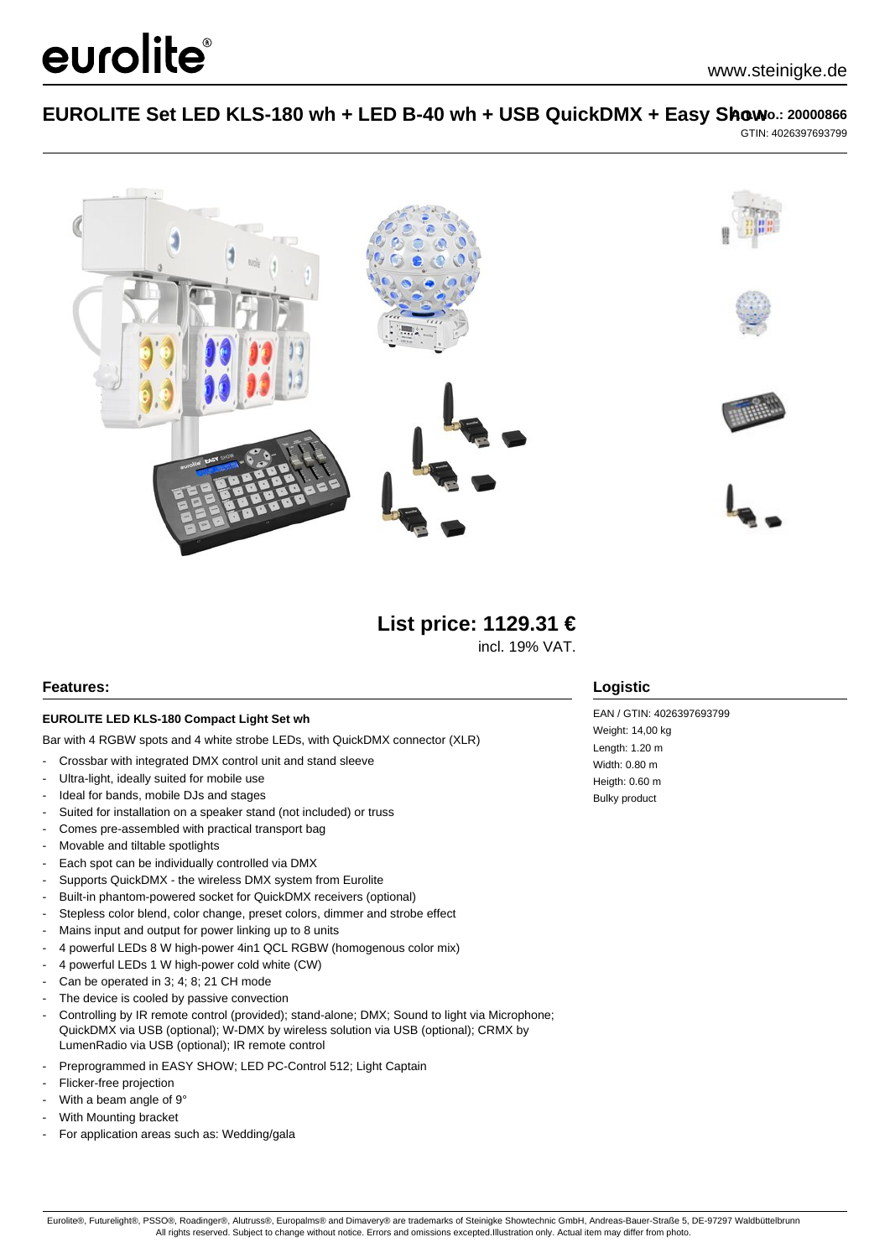# EUROLITE Set LED KLS-180 wh + LED B-40 wh + USB QuickDMX + Easy Show .: 20000866 GTIN: 4026397693799



**List price: 1129.31 €**

incl. 19% VAT.

### **Features:**

#### **EUROLITE LED KLS-180 Compact Light Set wh**

Bar with 4 RGBW spots and 4 white strobe LEDs, with QuickDMX connector (XLR)

- Crossbar with integrated DMX control unit and stand sleeve
- Ultra-light, ideally suited for mobile use
- Ideal for bands, mobile DJs and stages
- Suited for installation on a speaker stand (not included) or truss
- Comes pre-assembled with practical transport bag
- Movable and tiltable spotlights

eurolite®

- Each spot can be individually controlled via DMX
- Supports QuickDMX the wireless DMX system from Eurolite
- Built-in phantom-powered socket for QuickDMX receivers (optional)
- Stepless color blend, color change, preset colors, dimmer and strobe effect
- Mains input and output for power linking up to 8 units
- 4 powerful LEDs 8 W high-power 4in1 QCL RGBW (homogenous color mix)
- 4 powerful LEDs 1 W high-power cold white (CW)
- Can be operated in 3; 4; 8; 21 CH mode
- The device is cooled by passive convection
- Controlling by IR remote control (provided); stand-alone; DMX; Sound to light via Microphone; QuickDMX via USB (optional); W-DMX by wireless solution via USB (optional); CRMX by LumenRadio via USB (optional); IR remote control
- Preprogrammed in EASY SHOW; LED PC-Control 512; Light Captain
- Flicker-free projection
- With a beam angle of 9°
- With Mounting bracket
- For application areas such as: Wedding/gala

### **Logistic**

EAN / GTIN: 4026397693799 Weight: 14,00 kg Length: 1.20 m Width: 0.80 m Heigth: 0.60 m Bulky product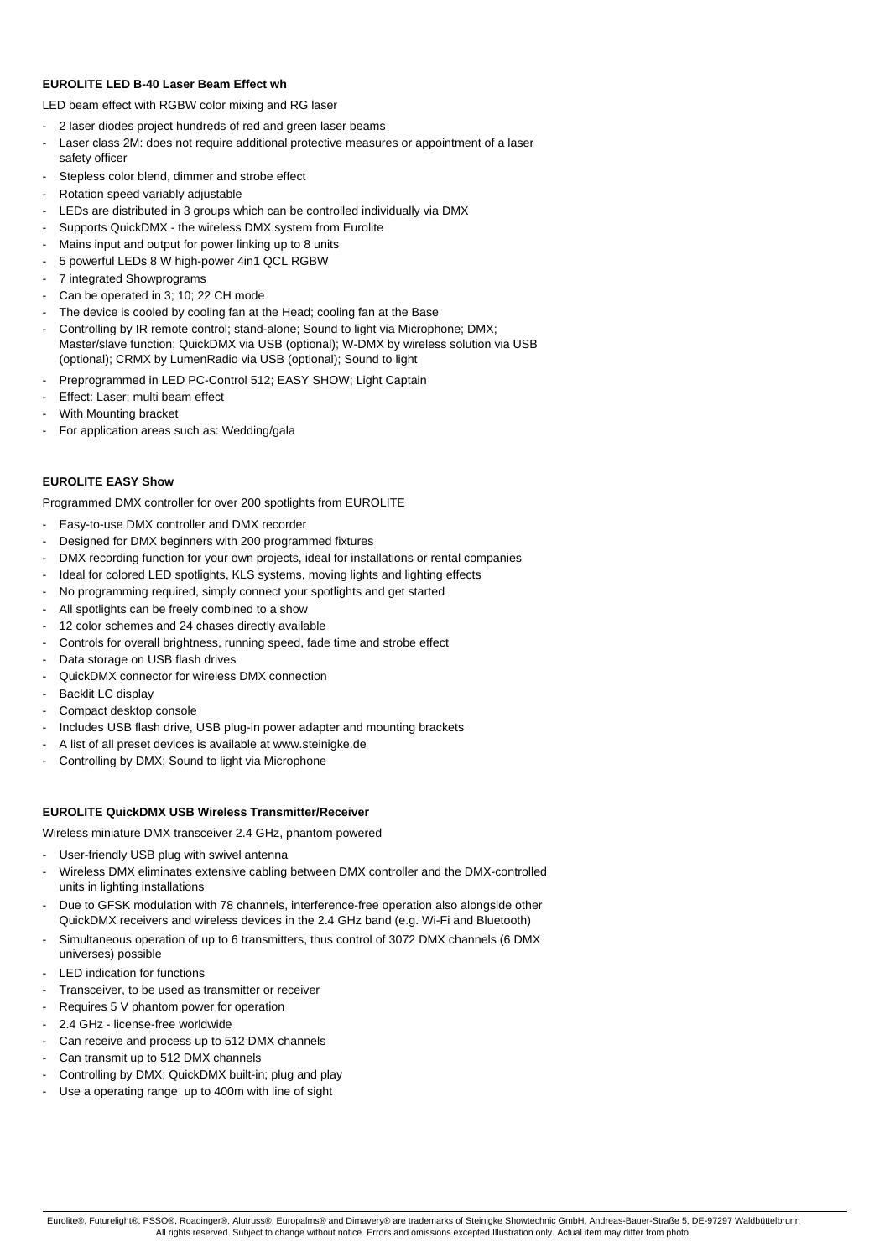#### **EUROLITE LED B-40 Laser Beam Effect wh**

LED beam effect with RGBW color mixing and RG laser

- 2 laser diodes project hundreds of red and green laser beams
- Laser class 2M: does not require additional protective measures or appointment of a laser safety officer
- Stepless color blend, dimmer and strobe effect
- Rotation speed variably adjustable
- LEDs are distributed in 3 groups which can be controlled individually via DMX
- Supports QuickDMX the wireless DMX system from Eurolite
- Mains input and output for power linking up to 8 units
- 5 powerful LEDs 8 W high-power 4in1 QCL RGBW
- 7 integrated Showprograms
- Can be operated in 3; 10; 22 CH mode
- The device is cooled by cooling fan at the Head; cooling fan at the Base
- Controlling by IR remote control; stand-alone; Sound to light via Microphone; DMX; Master/slave function; QuickDMX via USB (optional); W-DMX by wireless solution via USB (optional); CRMX by LumenRadio via USB (optional); Sound to light
- Preprogrammed in LED PC-Control 512; EASY SHOW; Light Captain
- Effect: Laser; multi beam effect
- With Mounting bracket
- For application areas such as: Wedding/gala

#### **EUROLITE EASY Show**

Programmed DMX controller for over 200 spotlights from EUROLITE

- Easy-to-use DMX controller and DMX recorder
- Designed for DMX beginners with 200 programmed fixtures
- DMX recording function for your own projects, ideal for installations or rental companies
- Ideal for colored LED spotlights, KLS systems, moving lights and lighting effects
- No programming required, simply connect your spotlights and get started
- All spotlights can be freely combined to a show
- 12 color schemes and 24 chases directly available
- Controls for overall brightness, running speed, fade time and strobe effect
- Data storage on USB flash drives
- QuickDMX connector for wireless DMX connection
- Backlit LC displav
- Compact desktop console
- Includes USB flash drive, USB plug-in power adapter and mounting brackets
- A list of all preset devices is available at www.steinigke.de
- Controlling by DMX; Sound to light via Microphone

#### **EUROLITE QuickDMX USB Wireless Transmitter/Receiver**

- Wireless miniature DMX transceiver 2.4 GHz, phantom powered
- User-friendly USB plug with swivel antenna
- Wireless DMX eliminates extensive cabling between DMX controller and the DMX-controlled units in lighting installations
- Due to GFSK modulation with 78 channels, interference-free operation also alongside other QuickDMX receivers and wireless devices in the 2.4 GHz band (e.g. Wi-Fi and Bluetooth)
- Simultaneous operation of up to 6 transmitters, thus control of 3072 DMX channels (6 DMX universes) possible
- LED indication for functions
- Transceiver, to be used as transmitter or receiver
- Requires 5 V phantom power for operation
- 2.4 GHz license-free worldwide
- Can receive and process up to 512 DMX channels
- Can transmit up to 512 DMX channels
- Controlling by DMX; QuickDMX built-in; plug and play
- Use a operating range up to 400m with line of sight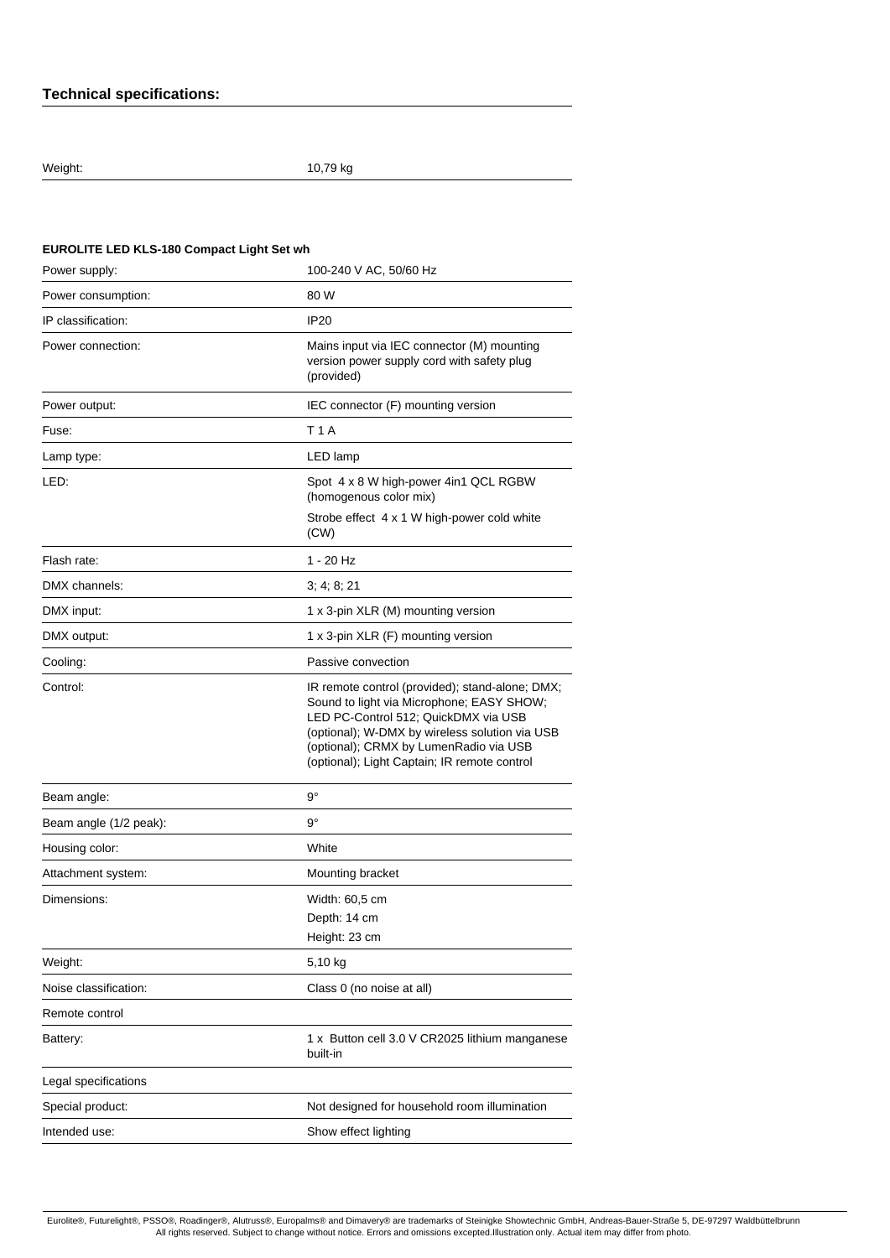# **Technical specifications:**

Weight: 10,79 kg

# **EUROLITE LED KLS-180 Compact Light Set wh**

| Power supply:          | 100-240 V AC, 50/60 Hz                                                                                                                                                                                                                                                           |
|------------------------|----------------------------------------------------------------------------------------------------------------------------------------------------------------------------------------------------------------------------------------------------------------------------------|
| Power consumption:     | 80 W                                                                                                                                                                                                                                                                             |
| IP classification:     | <b>IP20</b>                                                                                                                                                                                                                                                                      |
| Power connection:      | Mains input via IEC connector (M) mounting<br>version power supply cord with safety plug<br>(provided)                                                                                                                                                                           |
| Power output:          | IEC connector (F) mounting version                                                                                                                                                                                                                                               |
| Fuse:                  | <b>T1A</b>                                                                                                                                                                                                                                                                       |
| Lamp type:             | LED lamp                                                                                                                                                                                                                                                                         |
| LED:                   | Spot 4 x 8 W high-power 4in1 QCL RGBW<br>(homogenous color mix)                                                                                                                                                                                                                  |
|                        | Strobe effect 4 x 1 W high-power cold white<br>(CW)                                                                                                                                                                                                                              |
| Flash rate:            | $1 - 20$ Hz                                                                                                                                                                                                                                                                      |
| DMX channels:          | 3; 4; 8; 21                                                                                                                                                                                                                                                                      |
| DMX input:             | 1 x 3-pin XLR (M) mounting version                                                                                                                                                                                                                                               |
| DMX output:            | 1 x 3-pin XLR (F) mounting version                                                                                                                                                                                                                                               |
| Cooling:               | Passive convection                                                                                                                                                                                                                                                               |
| Control:               | IR remote control (provided); stand-alone; DMX;<br>Sound to light via Microphone; EASY SHOW;<br>LED PC-Control 512; QuickDMX via USB<br>(optional); W-DMX by wireless solution via USB<br>(optional); CRMX by LumenRadio via USB<br>(optional); Light Captain; IR remote control |
| Beam angle:            | $9^{\circ}$                                                                                                                                                                                                                                                                      |
| Beam angle (1/2 peak): | g°                                                                                                                                                                                                                                                                               |
| Housing color:         | White                                                                                                                                                                                                                                                                            |
| Attachment system:     | Mounting bracket                                                                                                                                                                                                                                                                 |
| Dimensions:            | Width: 60,5 cm<br>Depth: 14 cm<br>Height: 23 cm                                                                                                                                                                                                                                  |
| Weight:                | 5,10 kg                                                                                                                                                                                                                                                                          |
| Noise classification:  | Class 0 (no noise at all)                                                                                                                                                                                                                                                        |
| Remote control         |                                                                                                                                                                                                                                                                                  |
| Battery:               | 1 x Button cell 3.0 V CR2025 lithium manganese<br>built-in                                                                                                                                                                                                                       |
| Legal specifications   |                                                                                                                                                                                                                                                                                  |
| Special product:       | Not designed for household room illumination                                                                                                                                                                                                                                     |
| Intended use:          | Show effect lighting                                                                                                                                                                                                                                                             |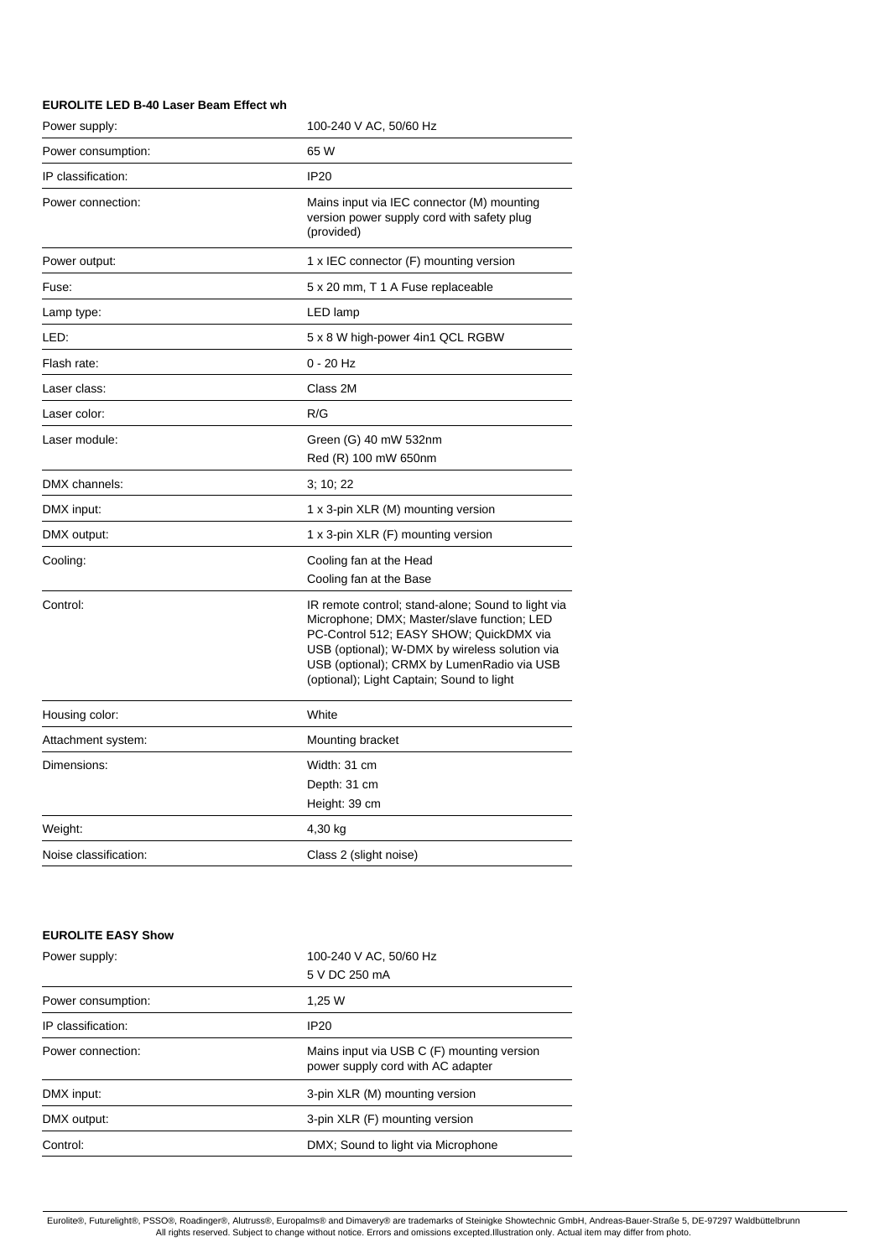### **EUROLITE LED B-40 Laser Beam Effect wh**

| Power supply:         | 100-240 V AC, 50/60 Hz                                                                                                                                                                                                                                                                    |
|-----------------------|-------------------------------------------------------------------------------------------------------------------------------------------------------------------------------------------------------------------------------------------------------------------------------------------|
| Power consumption:    | 65 W                                                                                                                                                                                                                                                                                      |
| IP classification:    | <b>IP20</b>                                                                                                                                                                                                                                                                               |
| Power connection:     | Mains input via IEC connector (M) mounting<br>version power supply cord with safety plug<br>(provided)                                                                                                                                                                                    |
| Power output:         | 1 x IEC connector (F) mounting version                                                                                                                                                                                                                                                    |
| Fuse:                 | 5 x 20 mm, T 1 A Fuse replaceable                                                                                                                                                                                                                                                         |
| Lamp type:            | LED lamp                                                                                                                                                                                                                                                                                  |
| LED:                  | 5 x 8 W high-power 4in1 QCL RGBW                                                                                                                                                                                                                                                          |
| Flash rate:           | 0 - 20 Hz                                                                                                                                                                                                                                                                                 |
| Laser class:          | Class 2M                                                                                                                                                                                                                                                                                  |
| Laser color:          | R/G                                                                                                                                                                                                                                                                                       |
| Laser module:         | Green (G) 40 mW 532nm<br>Red (R) 100 mW 650nm                                                                                                                                                                                                                                             |
| DMX channels:         | 3; 10; 22                                                                                                                                                                                                                                                                                 |
| DMX input:            | 1 x 3-pin XLR (M) mounting version                                                                                                                                                                                                                                                        |
| DMX output:           | 1 x 3-pin XLR (F) mounting version                                                                                                                                                                                                                                                        |
| Cooling:              | Cooling fan at the Head<br>Cooling fan at the Base                                                                                                                                                                                                                                        |
| Control:              | IR remote control; stand-alone; Sound to light via<br>Microphone; DMX; Master/slave function; LED<br>PC-Control 512; EASY SHOW; QuickDMX via<br>USB (optional); W-DMX by wireless solution via<br>USB (optional); CRMX by LumenRadio via USB<br>(optional); Light Captain; Sound to light |
| Housing color:        | White                                                                                                                                                                                                                                                                                     |
| Attachment system:    | Mounting bracket                                                                                                                                                                                                                                                                          |
| Dimensions:           | Width: 31 cm<br>Depth: 31 cm<br>Height: 39 cm                                                                                                                                                                                                                                             |
| Weight:               | 4,30 kg                                                                                                                                                                                                                                                                                   |
| Noise classification: | Class 2 (slight noise)                                                                                                                                                                                                                                                                    |
|                       |                                                                                                                                                                                                                                                                                           |

## **EUROLITE EASY Show**

| Power supply:      | 100-240 V AC, 50/60 Hz                                                          |
|--------------------|---------------------------------------------------------------------------------|
|                    | 5 V DC 250 mA                                                                   |
| Power consumption: | 1.25 W                                                                          |
| IP classification: | IP <sub>20</sub>                                                                |
| Power connection:  | Mains input via USB C (F) mounting version<br>power supply cord with AC adapter |
| DMX input:         | 3-pin XLR (M) mounting version                                                  |
| DMX output:        | 3-pin XLR (F) mounting version                                                  |
| Control:           | DMX; Sound to light via Microphone                                              |
|                    |                                                                                 |

Eurolite®, Futurelight®, PSSO®, Roadinger®, Alutruss®, Europalms® and Dimavery® are trademarks of Steinigke Showtechnic GmbH, Andreas-Bauer-Straße 5, DE-97297 Waldbüttelbrunn<br>All rights reserved. Subject to change without